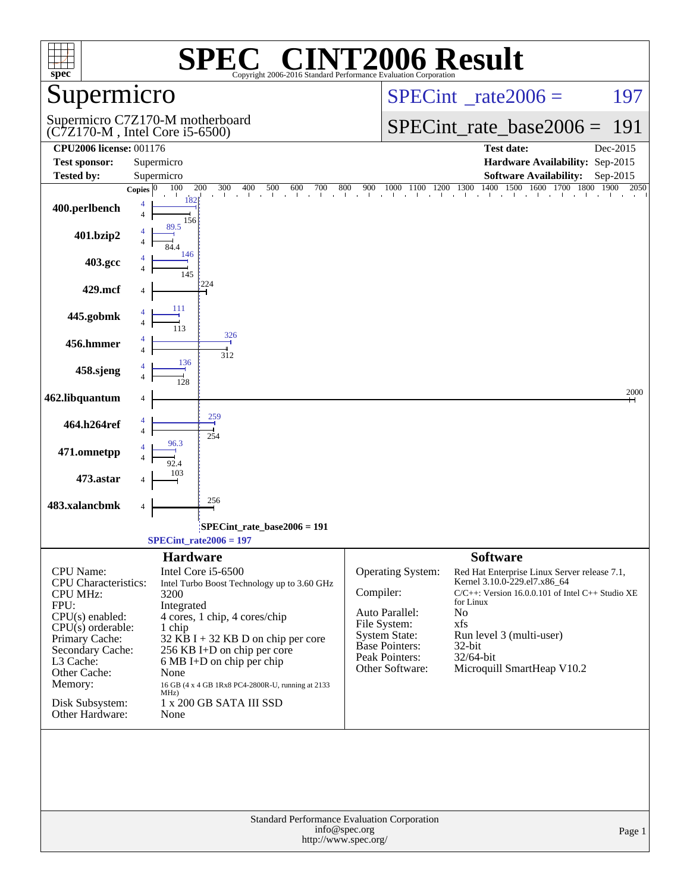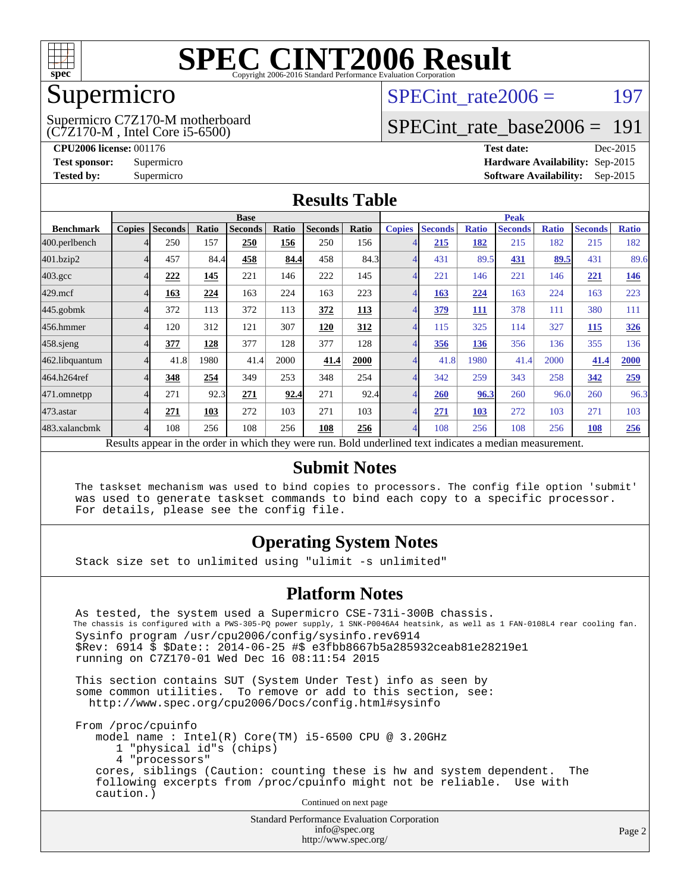

### Supermicro

(C7Z170-M , Intel Core i5-6500) Supermicro C7Z170-M motherboard SPECint rate $2006 = 197$ 

### [SPECint\\_rate\\_base2006 =](http://www.spec.org/auto/cpu2006/Docs/result-fields.html#SPECintratebase2006) 191

**[CPU2006 license:](http://www.spec.org/auto/cpu2006/Docs/result-fields.html#CPU2006license)** 001176 **[Test date:](http://www.spec.org/auto/cpu2006/Docs/result-fields.html#Testdate)** Dec-2015 **[Test sponsor:](http://www.spec.org/auto/cpu2006/Docs/result-fields.html#Testsponsor)** Supermicro **[Hardware Availability:](http://www.spec.org/auto/cpu2006/Docs/result-fields.html#HardwareAvailability)** Sep-2015 **[Tested by:](http://www.spec.org/auto/cpu2006/Docs/result-fields.html#Testedby)** Supermicro **Supermicro [Software Availability:](http://www.spec.org/auto/cpu2006/Docs/result-fields.html#SoftwareAvailability)** Sep-2015

### **[Results Table](http://www.spec.org/auto/cpu2006/Docs/result-fields.html#ResultsTable)**

|                                                                                                          | <b>Base</b>   |                |       |                |       | <b>Peak</b>    |            |                |                |              |                |              |                |              |
|----------------------------------------------------------------------------------------------------------|---------------|----------------|-------|----------------|-------|----------------|------------|----------------|----------------|--------------|----------------|--------------|----------------|--------------|
| <b>Benchmark</b>                                                                                         | <b>Copies</b> | <b>Seconds</b> | Ratio | <b>Seconds</b> | Ratio | <b>Seconds</b> | Ratio      | <b>Copies</b>  | <b>Seconds</b> | <b>Ratio</b> | <b>Seconds</b> | <b>Ratio</b> | <b>Seconds</b> | <b>Ratio</b> |
| 400.perlbench                                                                                            |               | 250            | 157   | 250            | 156   | 250            | 156        | 4              | 215            | 182          | 215            | 182          | 215            | 182          |
| 401.bzip2                                                                                                |               | 457            | 84.4  | 458            | 84.4  | 458            | 84.3       | $\overline{A}$ | 431            | 89.5         | 431            | 89.5         | 431            | 89.6         |
| $403.\mathrm{gcc}$                                                                                       |               | 222            | 145   | 221            | 146   | 222            | 145        | $\overline{4}$ | 221            | 146          | 221            | 146          | 221            | 146          |
| $429$ .mcf                                                                                               |               | 163            | 224   | 163            | 224   | 163            | 223        | 4              | 163            | 224          | 163            | 224          | 163            | 223          |
| $445$ .gobmk                                                                                             |               | 372            | 113   | 372            | 113   | 372            | <b>113</b> | $\overline{4}$ | <u>379</u>     | <b>111</b>   | 378            | 111          | 380            | 111          |
| 456.hmmer                                                                                                |               | 120            | 312   | 121            | 307   | 120            | 312        | $\overline{4}$ | 115            | 325          | 114            | 327          | 115            | 326          |
| $458$ .sjeng                                                                                             |               | 377            | 128   | 377            | 128   | 377            | 128        | 4              | 356            | 136          | 356            | 136          | 355            | 136          |
| 462.libquantum                                                                                           |               | 41.8           | 1980  | 41.4           | 2000  | 41.4           | 2000       | 4              | 41.8           | 1980         | 41.4           | 2000         | 41.4           | 2000         |
| 464.h264ref                                                                                              |               | 348            | 254   | 349            | 253   | 348            | 254        | $\overline{4}$ | 342            | 259          | 343            | 258          | 342            | 259          |
| 471.omnetpp                                                                                              |               | 271            | 92.3  | 271            | 92.4  | 271            | 92.4       | 4              | 260            | 96.3         | 260            | 96.0         | 260            | 96.3         |
| 473.astar                                                                                                |               | 271            | 103   | 272            | 103   | 271            | 103        | $\overline{4}$ | 271            | 103          | 272            | 103          | 271            | 103          |
| 483.xalancbmk                                                                                            |               | 108            | 256   | 108            | 256   | 108            | 256        | $\overline{4}$ | 108            | 256          | 108            | 256          | 108            | 256          |
| Results appear in the order in which they were run. Bold underlined text indicates a median measurement. |               |                |       |                |       |                |            |                |                |              |                |              |                |              |

#### **[Submit Notes](http://www.spec.org/auto/cpu2006/Docs/result-fields.html#SubmitNotes)**

 The taskset mechanism was used to bind copies to processors. The config file option 'submit' was used to generate taskset commands to bind each copy to a specific processor. For details, please see the config file.

### **[Operating System Notes](http://www.spec.org/auto/cpu2006/Docs/result-fields.html#OperatingSystemNotes)**

Stack size set to unlimited using "ulimit -s unlimited"

#### **[Platform Notes](http://www.spec.org/auto/cpu2006/Docs/result-fields.html#PlatformNotes)**

 As tested, the system used a Supermicro CSE-731i-300B chassis. The chassis is configured with a PWS-305-PQ power supply, 1 SNK-P0046A4 heatsink, as well as 1 FAN-0108L4 rear cooling fan. Sysinfo program /usr/cpu2006/config/sysinfo.rev6914 \$Rev: 6914 \$ \$Date:: 2014-06-25 #\$ e3fbb8667b5a285932ceab81e28219e1 running on C7Z170-01 Wed Dec 16 08:11:54 2015

 This section contains SUT (System Under Test) info as seen by some common utilities. To remove or add to this section, see: <http://www.spec.org/cpu2006/Docs/config.html#sysinfo>

 From /proc/cpuinfo model name : Intel(R) Core(TM) i5-6500 CPU @ 3.20GHz 1 "physical id"s (chips) 4 "processors" cores, siblings (Caution: counting these is hw and system dependent. The following excerpts from /proc/cpuinfo might not be reliable. Use with caution.)

Continued on next page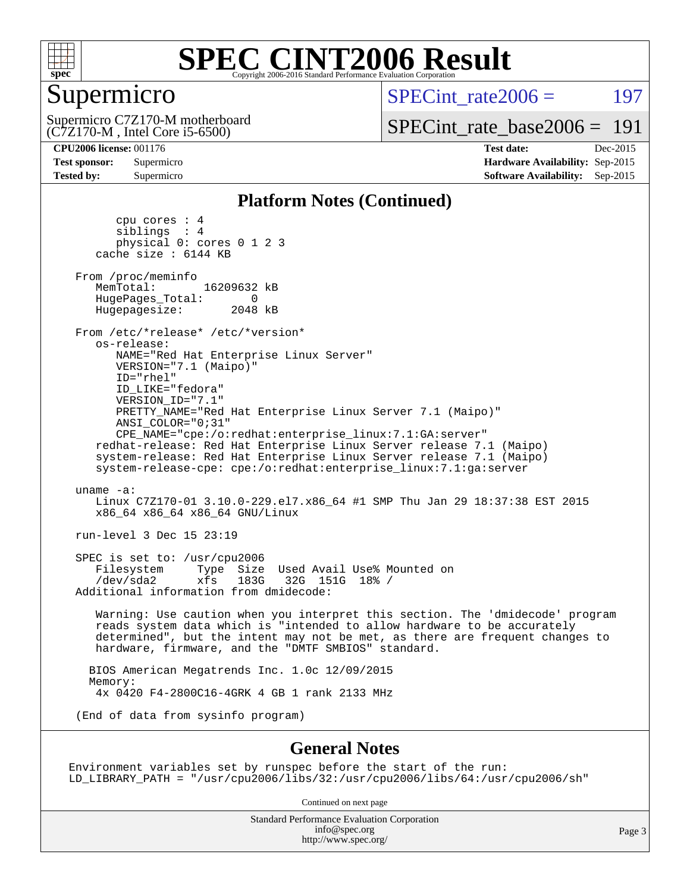

### Supermicro

(C7Z170-M , Intel Core i5-6500) Supermicro C7Z170-M motherboard SPECint rate $2006 = 197$ 

[SPECint\\_rate\\_base2006 =](http://www.spec.org/auto/cpu2006/Docs/result-fields.html#SPECintratebase2006) 191

**[CPU2006 license:](http://www.spec.org/auto/cpu2006/Docs/result-fields.html#CPU2006license)** 001176 **[Test date:](http://www.spec.org/auto/cpu2006/Docs/result-fields.html#Testdate)** Dec-2015 **[Test sponsor:](http://www.spec.org/auto/cpu2006/Docs/result-fields.html#Testsponsor)** Supermicro **[Hardware Availability:](http://www.spec.org/auto/cpu2006/Docs/result-fields.html#HardwareAvailability)** Sep-2015 **[Tested by:](http://www.spec.org/auto/cpu2006/Docs/result-fields.html#Testedby)** Supermicro **Supermicro [Software Availability:](http://www.spec.org/auto/cpu2006/Docs/result-fields.html#SoftwareAvailability)** Sep-2015

#### **[Platform Notes \(Continued\)](http://www.spec.org/auto/cpu2006/Docs/result-fields.html#PlatformNotes)**

 cpu cores : 4 siblings : 4 physical 0: cores 0 1 2 3 cache size : 6144 KB From /proc/meminfo MemTotal: 16209632 kB HugePages\_Total: 0 Hugepagesize: 2048 kB From /etc/\*release\* /etc/\*version\* os-release: NAME="Red Hat Enterprise Linux Server" VERSION="7.1 (Maipo)" ID="rhel" ID\_LIKE="fedora" VERSION\_ID="7.1" PRETTY\_NAME="Red Hat Enterprise Linux Server 7.1 (Maipo)" ANSI\_COLOR="0;31" CPE\_NAME="cpe:/o:redhat:enterprise\_linux:7.1:GA:server" redhat-release: Red Hat Enterprise Linux Server release 7.1 (Maipo) system-release: Red Hat Enterprise Linux Server release 7.1 (Maipo) system-release-cpe: cpe:/o:redhat:enterprise\_linux:7.1:ga:server uname -a: Linux C7Z170-01 3.10.0-229.el7.x86\_64 #1 SMP Thu Jan 29 18:37:38 EST 2015 x86\_64 x86\_64 x86\_64 GNU/Linux run-level 3 Dec 15 23:19 SPEC is set to: /usr/cpu2006<br>Filesystem Type Size Type Size Used Avail Use% Mounted on /dev/sda2 xfs 183G 32G 151G 18% / Additional information from dmidecode: Warning: Use caution when you interpret this section. The 'dmidecode' program reads system data which is "intended to allow hardware to be accurately determined", but the intent may not be met, as there are frequent changes to hardware, firmware, and the "DMTF SMBIOS" standard. BIOS American Megatrends Inc. 1.0c 12/09/2015 Memory: 4x 0420 F4-2800C16-4GRK 4 GB 1 rank 2133 MHz (End of data from sysinfo program)

#### **[General Notes](http://www.spec.org/auto/cpu2006/Docs/result-fields.html#GeneralNotes)**

Environment variables set by runspec before the start of the run: LD\_LIBRARY\_PATH = "/usr/cpu2006/libs/32:/usr/cpu2006/libs/64:/usr/cpu2006/sh"

Continued on next page

Standard Performance Evaluation Corporation [info@spec.org](mailto:info@spec.org) <http://www.spec.org/>

Page 3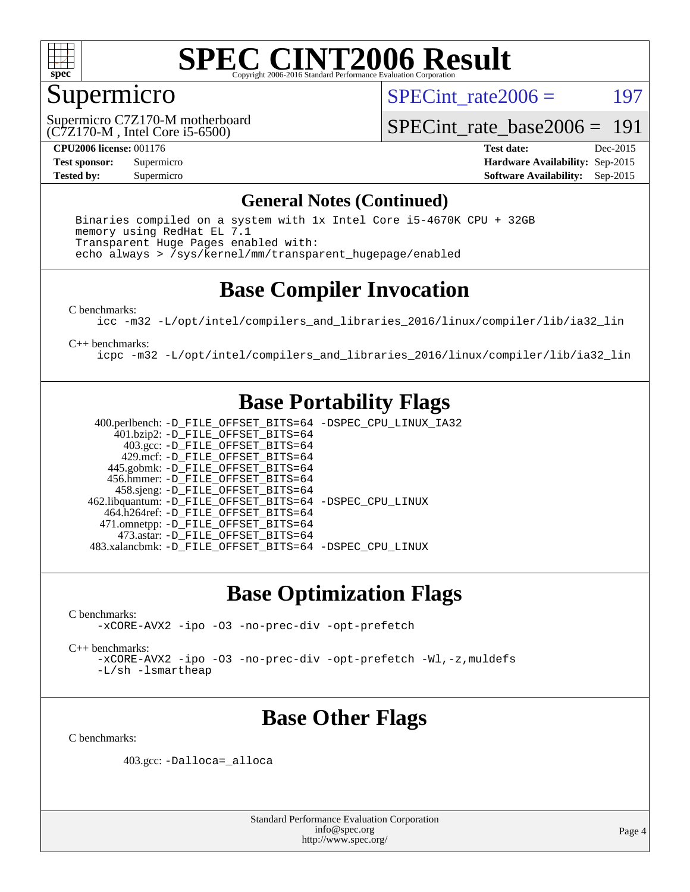

### Supermicro

SPECint rate $2006 = 197$ 

(C7Z170-M , Intel Core i5-6500) Supermicro C7Z170-M motherboard

[SPECint\\_rate\\_base2006 =](http://www.spec.org/auto/cpu2006/Docs/result-fields.html#SPECintratebase2006) 191

**[CPU2006 license:](http://www.spec.org/auto/cpu2006/Docs/result-fields.html#CPU2006license)** 001176 **[Test date:](http://www.spec.org/auto/cpu2006/Docs/result-fields.html#Testdate)** Dec-2015 **[Test sponsor:](http://www.spec.org/auto/cpu2006/Docs/result-fields.html#Testsponsor)** Supermicro **[Hardware Availability:](http://www.spec.org/auto/cpu2006/Docs/result-fields.html#HardwareAvailability)** Sep-2015 **[Tested by:](http://www.spec.org/auto/cpu2006/Docs/result-fields.html#Testedby)** Supermicro **Supermicro [Software Availability:](http://www.spec.org/auto/cpu2006/Docs/result-fields.html#SoftwareAvailability)** Sep-2015

### **[General Notes \(Continued\)](http://www.spec.org/auto/cpu2006/Docs/result-fields.html#GeneralNotes)**

 Binaries compiled on a system with 1x Intel Core i5-4670K CPU + 32GB memory using RedHat EL 7.1 Transparent Huge Pages enabled with: echo always > /sys/kernel/mm/transparent\_hugepage/enabled

### **[Base Compiler Invocation](http://www.spec.org/auto/cpu2006/Docs/result-fields.html#BaseCompilerInvocation)**

[C benchmarks](http://www.spec.org/auto/cpu2006/Docs/result-fields.html#Cbenchmarks):

[icc -m32 -L/opt/intel/compilers\\_and\\_libraries\\_2016/linux/compiler/lib/ia32\\_lin](http://www.spec.org/cpu2006/results/res2016q1/cpu2006-20151217-38445.flags.html#user_CCbase_intel_icc_e10256ba5924b668798078a321b0cb3f)

[C++ benchmarks:](http://www.spec.org/auto/cpu2006/Docs/result-fields.html#CXXbenchmarks)

[icpc -m32 -L/opt/intel/compilers\\_and\\_libraries\\_2016/linux/compiler/lib/ia32\\_lin](http://www.spec.org/cpu2006/results/res2016q1/cpu2006-20151217-38445.flags.html#user_CXXbase_intel_icpc_b4f50a394bdb4597aa5879c16bc3f5c5)

### **[Base Portability Flags](http://www.spec.org/auto/cpu2006/Docs/result-fields.html#BasePortabilityFlags)**

 400.perlbench: [-D\\_FILE\\_OFFSET\\_BITS=64](http://www.spec.org/cpu2006/results/res2016q1/cpu2006-20151217-38445.flags.html#user_basePORTABILITY400_perlbench_file_offset_bits_64_438cf9856305ebd76870a2c6dc2689ab) [-DSPEC\\_CPU\\_LINUX\\_IA32](http://www.spec.org/cpu2006/results/res2016q1/cpu2006-20151217-38445.flags.html#b400.perlbench_baseCPORTABILITY_DSPEC_CPU_LINUX_IA32) 401.bzip2: [-D\\_FILE\\_OFFSET\\_BITS=64](http://www.spec.org/cpu2006/results/res2016q1/cpu2006-20151217-38445.flags.html#user_basePORTABILITY401_bzip2_file_offset_bits_64_438cf9856305ebd76870a2c6dc2689ab) 403.gcc: [-D\\_FILE\\_OFFSET\\_BITS=64](http://www.spec.org/cpu2006/results/res2016q1/cpu2006-20151217-38445.flags.html#user_basePORTABILITY403_gcc_file_offset_bits_64_438cf9856305ebd76870a2c6dc2689ab) 429.mcf: [-D\\_FILE\\_OFFSET\\_BITS=64](http://www.spec.org/cpu2006/results/res2016q1/cpu2006-20151217-38445.flags.html#user_basePORTABILITY429_mcf_file_offset_bits_64_438cf9856305ebd76870a2c6dc2689ab) 445.gobmk: [-D\\_FILE\\_OFFSET\\_BITS=64](http://www.spec.org/cpu2006/results/res2016q1/cpu2006-20151217-38445.flags.html#user_basePORTABILITY445_gobmk_file_offset_bits_64_438cf9856305ebd76870a2c6dc2689ab) 456.hmmer: [-D\\_FILE\\_OFFSET\\_BITS=64](http://www.spec.org/cpu2006/results/res2016q1/cpu2006-20151217-38445.flags.html#user_basePORTABILITY456_hmmer_file_offset_bits_64_438cf9856305ebd76870a2c6dc2689ab) 458.sjeng: [-D\\_FILE\\_OFFSET\\_BITS=64](http://www.spec.org/cpu2006/results/res2016q1/cpu2006-20151217-38445.flags.html#user_basePORTABILITY458_sjeng_file_offset_bits_64_438cf9856305ebd76870a2c6dc2689ab) 462.libquantum: [-D\\_FILE\\_OFFSET\\_BITS=64](http://www.spec.org/cpu2006/results/res2016q1/cpu2006-20151217-38445.flags.html#user_basePORTABILITY462_libquantum_file_offset_bits_64_438cf9856305ebd76870a2c6dc2689ab) [-DSPEC\\_CPU\\_LINUX](http://www.spec.org/cpu2006/results/res2016q1/cpu2006-20151217-38445.flags.html#b462.libquantum_baseCPORTABILITY_DSPEC_CPU_LINUX) 464.h264ref: [-D\\_FILE\\_OFFSET\\_BITS=64](http://www.spec.org/cpu2006/results/res2016q1/cpu2006-20151217-38445.flags.html#user_basePORTABILITY464_h264ref_file_offset_bits_64_438cf9856305ebd76870a2c6dc2689ab) 471.omnetpp: [-D\\_FILE\\_OFFSET\\_BITS=64](http://www.spec.org/cpu2006/results/res2016q1/cpu2006-20151217-38445.flags.html#user_basePORTABILITY471_omnetpp_file_offset_bits_64_438cf9856305ebd76870a2c6dc2689ab) 473.astar: [-D\\_FILE\\_OFFSET\\_BITS=64](http://www.spec.org/cpu2006/results/res2016q1/cpu2006-20151217-38445.flags.html#user_basePORTABILITY473_astar_file_offset_bits_64_438cf9856305ebd76870a2c6dc2689ab) 483.xalancbmk: [-D\\_FILE\\_OFFSET\\_BITS=64](http://www.spec.org/cpu2006/results/res2016q1/cpu2006-20151217-38445.flags.html#user_basePORTABILITY483_xalancbmk_file_offset_bits_64_438cf9856305ebd76870a2c6dc2689ab) [-DSPEC\\_CPU\\_LINUX](http://www.spec.org/cpu2006/results/res2016q1/cpu2006-20151217-38445.flags.html#b483.xalancbmk_baseCXXPORTABILITY_DSPEC_CPU_LINUX)

### **[Base Optimization Flags](http://www.spec.org/auto/cpu2006/Docs/result-fields.html#BaseOptimizationFlags)**

[C benchmarks](http://www.spec.org/auto/cpu2006/Docs/result-fields.html#Cbenchmarks): [-xCORE-AVX2](http://www.spec.org/cpu2006/results/res2016q1/cpu2006-20151217-38445.flags.html#user_CCbase_f-xAVX2_5f5fc0cbe2c9f62c816d3e45806c70d7) [-ipo](http://www.spec.org/cpu2006/results/res2016q1/cpu2006-20151217-38445.flags.html#user_CCbase_f-ipo) [-O3](http://www.spec.org/cpu2006/results/res2016q1/cpu2006-20151217-38445.flags.html#user_CCbase_f-O3) [-no-prec-div](http://www.spec.org/cpu2006/results/res2016q1/cpu2006-20151217-38445.flags.html#user_CCbase_f-no-prec-div) [-opt-prefetch](http://www.spec.org/cpu2006/results/res2016q1/cpu2006-20151217-38445.flags.html#user_CCbase_f-opt-prefetch)

[C++ benchmarks:](http://www.spec.org/auto/cpu2006/Docs/result-fields.html#CXXbenchmarks)

[-xCORE-AVX2](http://www.spec.org/cpu2006/results/res2016q1/cpu2006-20151217-38445.flags.html#user_CXXbase_f-xAVX2_5f5fc0cbe2c9f62c816d3e45806c70d7) [-ipo](http://www.spec.org/cpu2006/results/res2016q1/cpu2006-20151217-38445.flags.html#user_CXXbase_f-ipo) [-O3](http://www.spec.org/cpu2006/results/res2016q1/cpu2006-20151217-38445.flags.html#user_CXXbase_f-O3) [-no-prec-div](http://www.spec.org/cpu2006/results/res2016q1/cpu2006-20151217-38445.flags.html#user_CXXbase_f-no-prec-div) [-opt-prefetch](http://www.spec.org/cpu2006/results/res2016q1/cpu2006-20151217-38445.flags.html#user_CXXbase_f-opt-prefetch) [-Wl,-z,muldefs](http://www.spec.org/cpu2006/results/res2016q1/cpu2006-20151217-38445.flags.html#user_CXXbase_link_force_multiple1_74079c344b956b9658436fd1b6dd3a8a) [-L/sh -lsmartheap](http://www.spec.org/cpu2006/results/res2016q1/cpu2006-20151217-38445.flags.html#user_CXXbase_SmartHeap_32f6c82aa1ed9c52345d30cf6e4a0499)

### **[Base Other Flags](http://www.spec.org/auto/cpu2006/Docs/result-fields.html#BaseOtherFlags)**

[C benchmarks](http://www.spec.org/auto/cpu2006/Docs/result-fields.html#Cbenchmarks):

403.gcc: [-Dalloca=\\_alloca](http://www.spec.org/cpu2006/results/res2016q1/cpu2006-20151217-38445.flags.html#b403.gcc_baseEXTRA_CFLAGS_Dalloca_be3056838c12de2578596ca5467af7f3)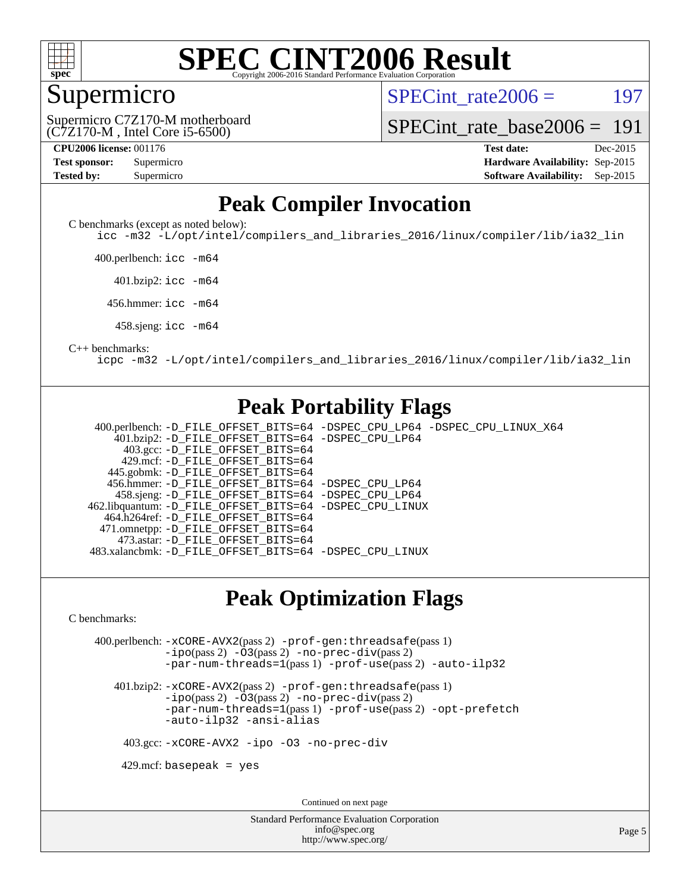

### Supermicro

SPECint rate $2006 = 197$ 

(C7Z170-M , Intel Core i5-6500) Supermicro C7Z170-M motherboard

[SPECint\\_rate\\_base2006 =](http://www.spec.org/auto/cpu2006/Docs/result-fields.html#SPECintratebase2006) 191

| <b>Test sponsor:</b> | Supermicro |
|----------------------|------------|
| <b>Tested by:</b>    | Supermicro |

**[CPU2006 license:](http://www.spec.org/auto/cpu2006/Docs/result-fields.html#CPU2006license)** 001176 **[Test date:](http://www.spec.org/auto/cpu2006/Docs/result-fields.html#Testdate)** Dec-2015 **[Hardware Availability:](http://www.spec.org/auto/cpu2006/Docs/result-fields.html#HardwareAvailability)** Sep-2015 **[Software Availability:](http://www.spec.org/auto/cpu2006/Docs/result-fields.html#SoftwareAvailability)** Sep-2015

### **[Peak Compiler Invocation](http://www.spec.org/auto/cpu2006/Docs/result-fields.html#PeakCompilerInvocation)**

[C benchmarks \(except as noted below\)](http://www.spec.org/auto/cpu2006/Docs/result-fields.html#Cbenchmarksexceptasnotedbelow):

[icc -m32 -L/opt/intel/compilers\\_and\\_libraries\\_2016/linux/compiler/lib/ia32\\_lin](http://www.spec.org/cpu2006/results/res2016q1/cpu2006-20151217-38445.flags.html#user_CCpeak_intel_icc_e10256ba5924b668798078a321b0cb3f)

400.perlbench: [icc -m64](http://www.spec.org/cpu2006/results/res2016q1/cpu2006-20151217-38445.flags.html#user_peakCCLD400_perlbench_intel_icc_64bit_bda6cc9af1fdbb0edc3795bac97ada53)

401.bzip2: [icc -m64](http://www.spec.org/cpu2006/results/res2016q1/cpu2006-20151217-38445.flags.html#user_peakCCLD401_bzip2_intel_icc_64bit_bda6cc9af1fdbb0edc3795bac97ada53)

456.hmmer: [icc -m64](http://www.spec.org/cpu2006/results/res2016q1/cpu2006-20151217-38445.flags.html#user_peakCCLD456_hmmer_intel_icc_64bit_bda6cc9af1fdbb0edc3795bac97ada53)

458.sjeng: [icc -m64](http://www.spec.org/cpu2006/results/res2016q1/cpu2006-20151217-38445.flags.html#user_peakCCLD458_sjeng_intel_icc_64bit_bda6cc9af1fdbb0edc3795bac97ada53)

#### [C++ benchmarks:](http://www.spec.org/auto/cpu2006/Docs/result-fields.html#CXXbenchmarks)

[icpc -m32 -L/opt/intel/compilers\\_and\\_libraries\\_2016/linux/compiler/lib/ia32\\_lin](http://www.spec.org/cpu2006/results/res2016q1/cpu2006-20151217-38445.flags.html#user_CXXpeak_intel_icpc_b4f50a394bdb4597aa5879c16bc3f5c5)

### **[Peak Portability Flags](http://www.spec.org/auto/cpu2006/Docs/result-fields.html#PeakPortabilityFlags)**

 400.perlbench: [-D\\_FILE\\_OFFSET\\_BITS=64](http://www.spec.org/cpu2006/results/res2016q1/cpu2006-20151217-38445.flags.html#user_peakPORTABILITY400_perlbench_file_offset_bits_64_438cf9856305ebd76870a2c6dc2689ab) [-DSPEC\\_CPU\\_LP64](http://www.spec.org/cpu2006/results/res2016q1/cpu2006-20151217-38445.flags.html#b400.perlbench_peakCPORTABILITY_DSPEC_CPU_LP64) [-DSPEC\\_CPU\\_LINUX\\_X64](http://www.spec.org/cpu2006/results/res2016q1/cpu2006-20151217-38445.flags.html#b400.perlbench_peakCPORTABILITY_DSPEC_CPU_LINUX_X64) 401.bzip2: [-D\\_FILE\\_OFFSET\\_BITS=64](http://www.spec.org/cpu2006/results/res2016q1/cpu2006-20151217-38445.flags.html#user_peakPORTABILITY401_bzip2_file_offset_bits_64_438cf9856305ebd76870a2c6dc2689ab) [-DSPEC\\_CPU\\_LP64](http://www.spec.org/cpu2006/results/res2016q1/cpu2006-20151217-38445.flags.html#suite_peakCPORTABILITY401_bzip2_DSPEC_CPU_LP64) 403.gcc: [-D\\_FILE\\_OFFSET\\_BITS=64](http://www.spec.org/cpu2006/results/res2016q1/cpu2006-20151217-38445.flags.html#user_peakPORTABILITY403_gcc_file_offset_bits_64_438cf9856305ebd76870a2c6dc2689ab) 429.mcf: [-D\\_FILE\\_OFFSET\\_BITS=64](http://www.spec.org/cpu2006/results/res2016q1/cpu2006-20151217-38445.flags.html#user_peakPORTABILITY429_mcf_file_offset_bits_64_438cf9856305ebd76870a2c6dc2689ab) 445.gobmk: [-D\\_FILE\\_OFFSET\\_BITS=64](http://www.spec.org/cpu2006/results/res2016q1/cpu2006-20151217-38445.flags.html#user_peakPORTABILITY445_gobmk_file_offset_bits_64_438cf9856305ebd76870a2c6dc2689ab) 456.hmmer: [-D\\_FILE\\_OFFSET\\_BITS=64](http://www.spec.org/cpu2006/results/res2016q1/cpu2006-20151217-38445.flags.html#user_peakPORTABILITY456_hmmer_file_offset_bits_64_438cf9856305ebd76870a2c6dc2689ab) [-DSPEC\\_CPU\\_LP64](http://www.spec.org/cpu2006/results/res2016q1/cpu2006-20151217-38445.flags.html#suite_peakCPORTABILITY456_hmmer_DSPEC_CPU_LP64) 458.sjeng: [-D\\_FILE\\_OFFSET\\_BITS=64](http://www.spec.org/cpu2006/results/res2016q1/cpu2006-20151217-38445.flags.html#user_peakPORTABILITY458_sjeng_file_offset_bits_64_438cf9856305ebd76870a2c6dc2689ab) [-DSPEC\\_CPU\\_LP64](http://www.spec.org/cpu2006/results/res2016q1/cpu2006-20151217-38445.flags.html#suite_peakCPORTABILITY458_sjeng_DSPEC_CPU_LP64) 462.libquantum: [-D\\_FILE\\_OFFSET\\_BITS=64](http://www.spec.org/cpu2006/results/res2016q1/cpu2006-20151217-38445.flags.html#user_peakPORTABILITY462_libquantum_file_offset_bits_64_438cf9856305ebd76870a2c6dc2689ab) [-DSPEC\\_CPU\\_LINUX](http://www.spec.org/cpu2006/results/res2016q1/cpu2006-20151217-38445.flags.html#b462.libquantum_peakCPORTABILITY_DSPEC_CPU_LINUX) 464.h264ref: [-D\\_FILE\\_OFFSET\\_BITS=64](http://www.spec.org/cpu2006/results/res2016q1/cpu2006-20151217-38445.flags.html#user_peakPORTABILITY464_h264ref_file_offset_bits_64_438cf9856305ebd76870a2c6dc2689ab) 471.omnetpp: [-D\\_FILE\\_OFFSET\\_BITS=64](http://www.spec.org/cpu2006/results/res2016q1/cpu2006-20151217-38445.flags.html#user_peakPORTABILITY471_omnetpp_file_offset_bits_64_438cf9856305ebd76870a2c6dc2689ab) 473.astar: [-D\\_FILE\\_OFFSET\\_BITS=64](http://www.spec.org/cpu2006/results/res2016q1/cpu2006-20151217-38445.flags.html#user_peakPORTABILITY473_astar_file_offset_bits_64_438cf9856305ebd76870a2c6dc2689ab) 483.xalancbmk: [-D\\_FILE\\_OFFSET\\_BITS=64](http://www.spec.org/cpu2006/results/res2016q1/cpu2006-20151217-38445.flags.html#user_peakPORTABILITY483_xalancbmk_file_offset_bits_64_438cf9856305ebd76870a2c6dc2689ab) [-DSPEC\\_CPU\\_LINUX](http://www.spec.org/cpu2006/results/res2016q1/cpu2006-20151217-38445.flags.html#b483.xalancbmk_peakCXXPORTABILITY_DSPEC_CPU_LINUX)

### **[Peak Optimization Flags](http://www.spec.org/auto/cpu2006/Docs/result-fields.html#PeakOptimizationFlags)**

[C benchmarks](http://www.spec.org/auto/cpu2006/Docs/result-fields.html#Cbenchmarks):

 400.perlbench: [-xCORE-AVX2](http://www.spec.org/cpu2006/results/res2016q1/cpu2006-20151217-38445.flags.html#user_peakPASS2_CFLAGSPASS2_LDCFLAGS400_perlbench_f-xAVX2_5f5fc0cbe2c9f62c816d3e45806c70d7)(pass 2) [-prof-gen:threadsafe](http://www.spec.org/cpu2006/results/res2016q1/cpu2006-20151217-38445.flags.html#user_peakPASS1_CFLAGSPASS1_LDCFLAGS400_perlbench_prof_gen_21a26eb79f378b550acd7bec9fe4467a)(pass 1) [-ipo](http://www.spec.org/cpu2006/results/res2016q1/cpu2006-20151217-38445.flags.html#user_peakPASS2_CFLAGSPASS2_LDCFLAGS400_perlbench_f-ipo)(pass 2) [-O3](http://www.spec.org/cpu2006/results/res2016q1/cpu2006-20151217-38445.flags.html#user_peakPASS2_CFLAGSPASS2_LDCFLAGS400_perlbench_f-O3)(pass 2) [-no-prec-div](http://www.spec.org/cpu2006/results/res2016q1/cpu2006-20151217-38445.flags.html#user_peakPASS2_CFLAGSPASS2_LDCFLAGS400_perlbench_f-no-prec-div)(pass 2) [-par-num-threads=1](http://www.spec.org/cpu2006/results/res2016q1/cpu2006-20151217-38445.flags.html#user_peakPASS1_CFLAGSPASS1_LDCFLAGS400_perlbench_par_num_threads_786a6ff141b4e9e90432e998842df6c2)(pass 1) [-prof-use](http://www.spec.org/cpu2006/results/res2016q1/cpu2006-20151217-38445.flags.html#user_peakPASS2_CFLAGSPASS2_LDCFLAGS400_perlbench_prof_use_bccf7792157ff70d64e32fe3e1250b55)(pass 2) [-auto-ilp32](http://www.spec.org/cpu2006/results/res2016q1/cpu2006-20151217-38445.flags.html#user_peakCOPTIMIZE400_perlbench_f-auto-ilp32)

 401.bzip2: [-xCORE-AVX2](http://www.spec.org/cpu2006/results/res2016q1/cpu2006-20151217-38445.flags.html#user_peakPASS2_CFLAGSPASS2_LDCFLAGS401_bzip2_f-xAVX2_5f5fc0cbe2c9f62c816d3e45806c70d7)(pass 2) [-prof-gen:threadsafe](http://www.spec.org/cpu2006/results/res2016q1/cpu2006-20151217-38445.flags.html#user_peakPASS1_CFLAGSPASS1_LDCFLAGS401_bzip2_prof_gen_21a26eb79f378b550acd7bec9fe4467a)(pass 1)  $-i\text{po}(pass 2)$  [-O3](http://www.spec.org/cpu2006/results/res2016q1/cpu2006-20151217-38445.flags.html#user_peakPASS2_CFLAGSPASS2_LDCFLAGS401_bzip2_f-O3) $(pass 2)$  [-no-prec-div](http://www.spec.org/cpu2006/results/res2016q1/cpu2006-20151217-38445.flags.html#user_peakPASS2_CFLAGSPASS2_LDCFLAGS401_bzip2_f-no-prec-div) $(pass 2)$ [-par-num-threads=1](http://www.spec.org/cpu2006/results/res2016q1/cpu2006-20151217-38445.flags.html#user_peakPASS1_CFLAGSPASS1_LDCFLAGS401_bzip2_par_num_threads_786a6ff141b4e9e90432e998842df6c2)(pass 1) [-prof-use](http://www.spec.org/cpu2006/results/res2016q1/cpu2006-20151217-38445.flags.html#user_peakPASS2_CFLAGSPASS2_LDCFLAGS401_bzip2_prof_use_bccf7792157ff70d64e32fe3e1250b55)(pass 2) [-opt-prefetch](http://www.spec.org/cpu2006/results/res2016q1/cpu2006-20151217-38445.flags.html#user_peakCOPTIMIZE401_bzip2_f-opt-prefetch) [-auto-ilp32](http://www.spec.org/cpu2006/results/res2016q1/cpu2006-20151217-38445.flags.html#user_peakCOPTIMIZE401_bzip2_f-auto-ilp32) [-ansi-alias](http://www.spec.org/cpu2006/results/res2016q1/cpu2006-20151217-38445.flags.html#user_peakCOPTIMIZE401_bzip2_f-ansi-alias)

403.gcc: [-xCORE-AVX2](http://www.spec.org/cpu2006/results/res2016q1/cpu2006-20151217-38445.flags.html#user_peakCOPTIMIZE403_gcc_f-xAVX2_5f5fc0cbe2c9f62c816d3e45806c70d7) [-ipo](http://www.spec.org/cpu2006/results/res2016q1/cpu2006-20151217-38445.flags.html#user_peakCOPTIMIZE403_gcc_f-ipo) [-O3](http://www.spec.org/cpu2006/results/res2016q1/cpu2006-20151217-38445.flags.html#user_peakCOPTIMIZE403_gcc_f-O3) [-no-prec-div](http://www.spec.org/cpu2006/results/res2016q1/cpu2006-20151217-38445.flags.html#user_peakCOPTIMIZE403_gcc_f-no-prec-div)

 $429$ .mcf: basepeak = yes

Continued on next page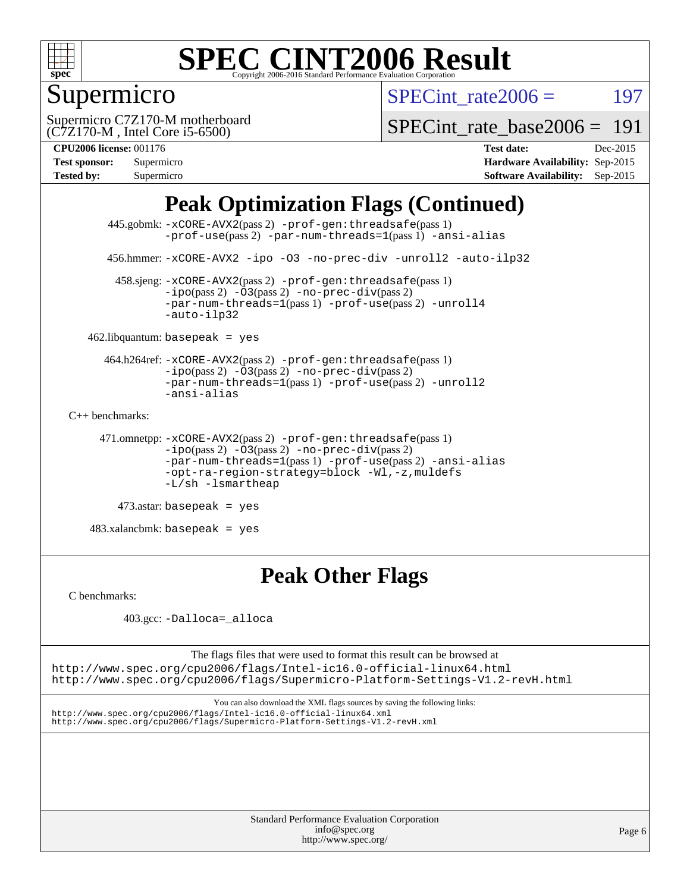

### Supermicro

SPECint rate $2006 = 197$ 

(C7Z170-M , Intel Core i5-6500) Supermicro C7Z170-M motherboard

[SPECint\\_rate\\_base2006 =](http://www.spec.org/auto/cpu2006/Docs/result-fields.html#SPECintratebase2006) 191

| <b>Test sponsor:</b> | Supermicro |
|----------------------|------------|
| <b>Tested by:</b>    | Supermicro |

**[CPU2006 license:](http://www.spec.org/auto/cpu2006/Docs/result-fields.html#CPU2006license)** 001176 **[Test date:](http://www.spec.org/auto/cpu2006/Docs/result-fields.html#Testdate)** Dec-2015 **[Hardware Availability:](http://www.spec.org/auto/cpu2006/Docs/result-fields.html#HardwareAvailability)** Sep-2015 **[Software Availability:](http://www.spec.org/auto/cpu2006/Docs/result-fields.html#SoftwareAvailability)** Sep-2015

### **[Peak Optimization Flags \(Continued\)](http://www.spec.org/auto/cpu2006/Docs/result-fields.html#PeakOptimizationFlags)**

```
 445.gobmk: -xCORE-AVX2(pass 2) -prof-gen:threadsafe(pass 1)
                -prof-use(pass 2) -par-num-threads=1(pass 1) -ansi-alias
       456.hmmer: -xCORE-AVX2 -ipo -O3 -no-prec-div -unroll2 -auto-ilp32
         458.sjeng: -xCORE-AVX2(pass 2) -prof-gen:threadsafe(pass 1)
                -ipo(pass 2) -\overline{03(pass 2)}-no-prec-div(pass 2)
                -par-num-threads=1(pass 1) -prof-use(pass 2) -unroll4
                -auto-ilp32
   462.libquantum: basepeak = yes
       464.h264ref: -xCORE-AVX2(pass 2) -prof-gen:threadsafe(pass 1)
                -i\text{po}(pass 2) -03(pass 2) -no-prec-div(pass 2)-par-num-threads=1(pass 1) -prof-use(pass 2) -unroll2
                -ansi-alias
C++ benchmarks: 
      471.omnetpp: -xCORE-AVX2(pass 2) -prof-gen:threadsafe(pass 1)
                -ipo(pass 2) -O3(pass 2) -no-prec-div(pass 2)
                -par-num-threads=1(pass 1) -prof-use(pass 2) -ansi-alias
                -opt-ra-region-strategy=block -Wl,-z,muldefs
                -L/sh -lsmartheap
```

```
 473.astar: basepeak = yes
```
 $483.xalanchmk: basepeak = yes$ 

### **[Peak Other Flags](http://www.spec.org/auto/cpu2006/Docs/result-fields.html#PeakOtherFlags)**

[C benchmarks](http://www.spec.org/auto/cpu2006/Docs/result-fields.html#Cbenchmarks):

403.gcc: [-Dalloca=\\_alloca](http://www.spec.org/cpu2006/results/res2016q1/cpu2006-20151217-38445.flags.html#b403.gcc_peakEXTRA_CFLAGS_Dalloca_be3056838c12de2578596ca5467af7f3)

The flags files that were used to format this result can be browsed at <http://www.spec.org/cpu2006/flags/Intel-ic16.0-official-linux64.html>

<http://www.spec.org/cpu2006/flags/Supermicro-Platform-Settings-V1.2-revH.html>

You can also download the XML flags sources by saving the following links: <http://www.spec.org/cpu2006/flags/Intel-ic16.0-official-linux64.xml> <http://www.spec.org/cpu2006/flags/Supermicro-Platform-Settings-V1.2-revH.xml>